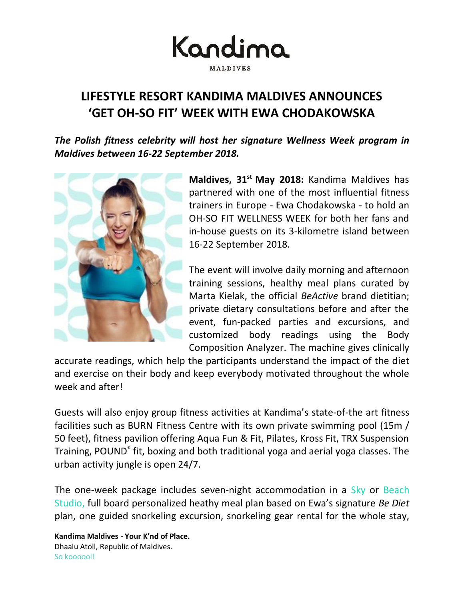Kandima **MALDIVES** 

## **LIFESTYLE RESORT KANDIMA MALDIVES ANNOUNCES 'GET OH-SO FIT' WEEK WITH EWA CHODAKOWSKA**

*The Polish fitness celebrity will host her signature Wellness Week program in Maldives between 16-22 September 2018.*



**Maldives, 31st May 2018:** Kandima Maldives has partnered with one of the most influential fitness trainers in Europe - Ewa Chodakowska - to hold an OH-SO FIT WELLNESS WEEK for both her fans and in-house guests on its 3-kilometre island between 16-22 September 2018.

The event will involve daily morning and afternoon training sessions, healthy meal plans curated by Marta Kielak, the official *BeActive* brand dietitian; private dietary consultations before and after the event, fun-packed parties and excursions, and customized body readings using the Body Composition Analyzer. The machine gives clinically

accurate readings, which help the participants understand the impact of the diet and exercise on their body and keep everybody motivated throughout the whole week and after!

Guests will also enjoy group fitness activities at Kandima's state-of-the art fitness facilities such as BURN Fitness Centre with its own private swimming pool (15m / 50 feet), fitness pavilion offering Aqua Fun & Fit, Pilates, Kross Fit, TRX Suspension Training, POUND<sup>®</sup> fit, boxing and both traditional yoga and aerial yoga classes. The urban activity jungle is open 24/7.

The one-week package includes seven-night accommodation in a [Sky or](http://kandima.com/index.php/en/studios-villas) Beach [Studio,](http://kandima.com/index.php/en/studios-villas) full board personalized heathy meal plan based on Ewa's signature *Be Diet* plan, one guided snorkeling excursion, snorkeling gear rental for the whole stay,

**Kandima Maldives - Your K'nd of Place.** Dhaalu Atoll, Republic of Maldives. So koooool!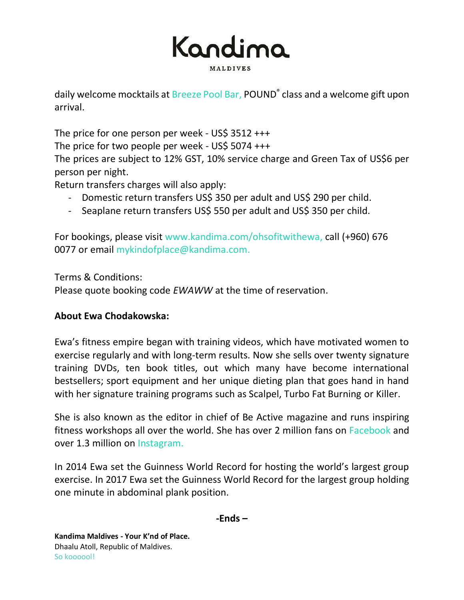

daily welcome mocktails a[t Breeze Pool Bar,](http://kandima.com/index.php/en/restaurants-bars) POUND<sup>®</sup> class and a welcome gift upon arrival.

The price for one person per week - US\$ 3512 +++

The price for two people per week - US\$ 5074 +++

The prices are subject to 12% GST, 10% service charge and Green Tax of US\$6 per person per night.

Return transfers charges will also apply:

- Domestic return transfers US\$ 350 per adult and US\$ 290 per child.
- Seaplane return transfers US\$ 550 per adult and US\$ 350 per child.

For bookings, please visit [www.kandima.com/ohsofitwithewa](http://www.kandima.com/ohsofitwithewa)[,](http://kandima.com/index.php/en/packages) call (+960) 676 0077 or email [mykindofplace@kandima.com.](mailto:mykindofplace@kandima.com)

Terms & Conditions:

Please quote booking code *EWAWW* at the time of reservation.

## **About Ewa Chodakowska:**

Ewa's fitness empire began with training videos, which have motivated women to exercise regularly and with long-term results. Now she sells over twenty signature training DVDs, ten book titles, out which many have become international bestsellers; sport equipment and her unique dieting plan that goes hand in hand with her signature training programs such as Scalpel, Turbo Fat Burning or Killer.

She is also known as the editor in chief of Be Active magazine and runs inspiring fitness workshops all over the world. She has over 2 million fans on [Facebook](https://www.facebook.com/chodakowskaewa/) and over 1.3 million on [Instagram.](https://www.instagram.com/chodakowskaewa/?hl=en)

In 2014 Ewa set the Guinness World Record for hosting the world's largest group exercise. In 2017 Ewa set the Guinness World Record for the largest group holding one minute in abdominal plank position.

**-Ends –**

**Kandima Maldives - Your K'nd of Place.** Dhaalu Atoll, Republic of Maldives. So koooool!